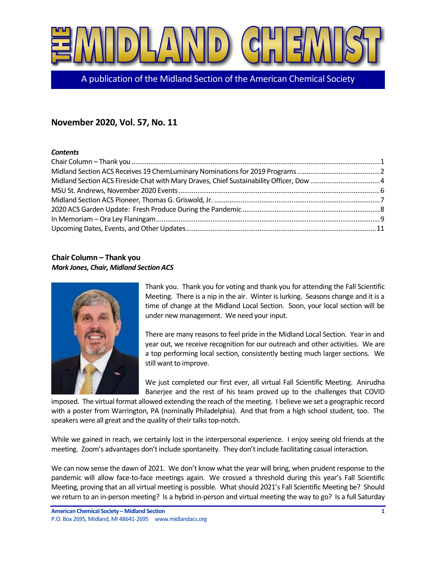

A publication of the Midland Section of the American Chemical Society

# **November 2020, Vol. 57, No. 11**

### *Contents*

## <span id="page-0-0"></span>**Chair Column – Thank you** *Mark Jones, Chair, Midland Section ACS*



Thank you. Thank you for voting and thank you for attending the Fall Scientific Meeting. There is a nip in the air. Winter is lurking. Seasons change and it is a time of change at the Midland Local Section. Soon, your local section will be under new management. We need your input.

There are many reasons to feel pride in the Midland Local Section. Year in and year out, we receive recognition for our outreach and other activities. We are a top performing local section, consistently besting much larger sections. We still want to improve.

We just completed our first ever, all virtual Fall Scientific Meeting. Anirudha Banerjee and the rest of his team proved up to the challenges that COVID

imposed. The virtual format allowed extending the reach of the meeting. I believe we set a geographic record with a poster from Warrington, PA (nominally Philadelphia). And that from a high school student, too. The speakers were all great and the quality of their talks top-notch.

While we gained in reach, we certainly lost in the interpersonal experience. I enjoy seeing old friends at the meeting. Zoom's advantages don't include spontaneity. They don't include facilitating casual interaction.

We can now sense the dawn of 2021. We don't know what the year will bring, when prudent response to the pandemic will allow face-to-face meetings again. We crossed a threshold during this year's Fall Scientific Meeting, proving that an all virtual meeting is possible. What should 2021's Fall Scientific Meeting be? Should we return to an in-person meeting? Is a hybrid in-person and virtual meeting the way to go? Is a full Saturday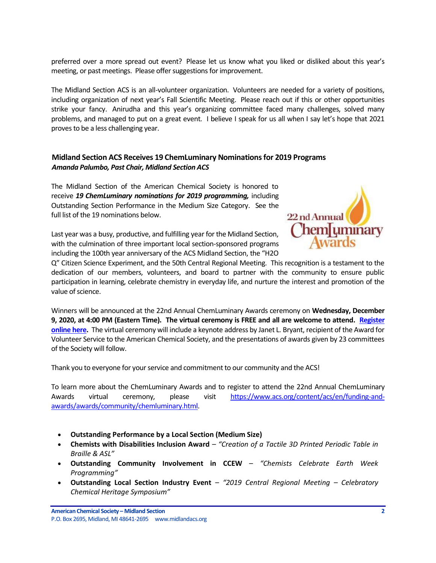preferred over a more spread out event? Please let us know what you liked or disliked about this year's meeting, or past meetings. Please offer suggestions for improvement.

The Midland Section ACS is an all-volunteer organization. Volunteers are needed for a variety of positions, including organization of next year's Fall Scientific Meeting. Please reach out if this or other opportunities strike your fancy. Anirudha and this year's organizing committee faced many challenges, solved many problems, and managed to put on a great event. I believe I speak for us all when I say let's hope that 2021 proves to be a less challenging year.

## <span id="page-1-0"></span>**Midland Section ACS Receives 19 ChemLuminary Nominations for 2019 Programs** *Amanda Palumbo, Past Chair, Midland Section ACS*

The Midland Section of the American Chemical Society is honored to receive *19 ChemLuminary nominations for 2019 programming,* including Outstanding Section Performance in the Medium Size Category. See the full list of the 19 nominations below.



Last year was a busy, productive, and fulfilling year for the Midland Section, with the culmination of three important local section-sponsored programs including the 100th year anniversary of the ACS Midland Section, the "H2O

Q" Citizen Science Experiment, and the 50th Central Regional Meeting. This recognition is a testament to the dedication of our members, volunteers, and board to partner with the community to ensure public participation in learning, celebrate chemistry in everyday life, and nurture the interest and promotion of the value of science.

Winners will be announced at the 22nd Annual ChemLuminary Awards ceremony on **Wednesday, December 9, 2020, at 4:00 PM (Eastern Time). The virtual ceremony is FREE and all are welcome to attend. [Register](https://www.acs.org/content/acs/en/funding-and-awards/awards/community/chemluminary.html)  [online here.](https://www.acs.org/content/acs/en/funding-and-awards/awards/community/chemluminary.html)** The virtual ceremony will include a keynote address by Janet L. Bryant, recipient of the Award for Volunteer Service to the American Chemical Society, and the presentations of awards given by 23 committees of the Society will follow.

Thank you to everyone for your service and commitment to our community and the ACS!

To learn more about the ChemLuminary Awards and to register to attend the 22nd Annual ChemLuminary Awards virtual ceremony, please visit [https://www.acs.org/content/acs/en/funding-and](https://www.acs.org/content/acs/en/funding-and-awards/awards/community/chemluminary.html)[awards/awards/community/chemluminary.html.](https://www.acs.org/content/acs/en/funding-and-awards/awards/community/chemluminary.html)

- **Outstanding Performance by a Local Section (Medium Size)**
- **Chemists with Disabilities Inclusion Award** *"Creation of a Tactile 3D Printed Periodic Table in Braille & ASL"*
- **Outstanding Community Involvement in CCEW** *"Chemists Celebrate Earth Week Programming"*
- **Outstanding Local Section Industry Event** *"2019 Central Regional Meeting – Celebratory Chemical Heritage Symposium"*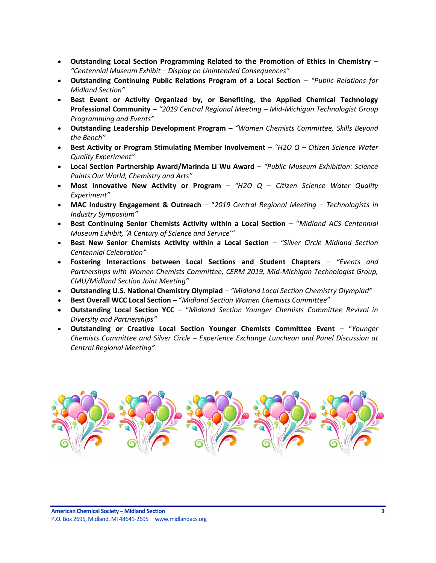- **Outstanding Local Section Programming Related to the Promotion of Ethics in Chemistry** *"Centennial Museum Exhibit – Display on Unintended Consequences"*
- **Outstanding Continuing Public Relations Program of a Local Section** *"Public Relations for Midland Section"*
- **Best Event or Activity Organized by, or Benefiting, the Applied Chemical Technology Professional Community** – *"2019 Central Regional Meeting – Mid-Michigan Technologist Group Programming and Events"*
- **Outstanding Leadership Development Program** *"Women Chemists Committee, Skills Beyond the Bench"*
- **Best Activity or Program Stimulating Member Involvement** *"H2O Q – Citizen Science Water Quality Experiment"*
- **Local Section Partnership Award/Marinda Li Wu Award** *"Public Museum Exhibition: Science Paints Our World, Chemistry and Arts"*
- **Most Innovative New Activity or Program** *"H2O Q – Citizen Science Water Quality Experiment"*
- **MAC Industry Engagement & Outreach** "*2019 Central Regional Meeting – Technologists in Industry Symposium"*
- **Best Continuing Senior Chemists Activity within a Local Section** "*Midland ACS Centennial Museum Exhibit, 'A Century of Science and Service'"*
- **Best New Senior Chemists Activity within a Local Section** *"Silver Circle Midland Section Centennial Celebration"*
- **Fostering Interactions between Local Sections and Student Chapters** *"Events and Partnerships with Women Chemists Committee, CERM 2019, Mid-Michigan Technologist Group, CMU/Midland Section Joint Meeting"*
- **Outstanding U.S. National Chemistry Olympiad** *"Midland Local Section Chemistry Olympiad"*
- **Best Overall WCC Local Section** "*Midland Section Women Chemists Committee*"
- **Outstanding Local Section YCC** "*Midland Section Younger Chemists Committee Revival in Diversity and Partnerships"*
- **Outstanding or Creative Local Section Younger Chemists Committee Event** "*Younger Chemists Committee and Silver Circle – Experience Exchange Luncheon and Panel Discussion at Central Regional Meeting"*

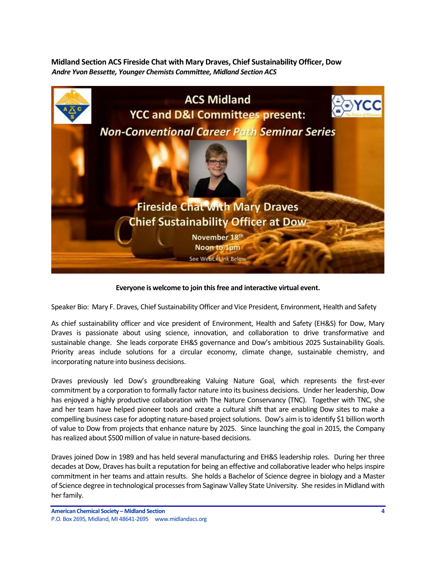<span id="page-3-0"></span>**Midland Section ACS Fireside Chat with Mary Draves, Chief Sustainability Officer, Dow** *Andre Yvon Bessette, Younger Chemists Committee, Midland Section ACS*



## **Everyone is welcome to join this free and interactive virtual event.**

Speaker Bio: Mary F. Draves, Chief Sustainability Officer and Vice President, Environment, Health and Safety

As chief sustainability officer and vice president of Environment, Health and Safety (EH&S) for Dow, Mary Draves is passionate about using science, innovation, and collaboration to drive transformative and sustainable change. She leads corporate EH&S governance and Dow's ambitious 2025 Sustainability Goals. Priority areas include solutions for a circular economy, climate change, sustainable chemistry, and incorporating nature into business decisions.

Draves previously led Dow's groundbreaking Valuing Nature Goal, which represents the first-ever commitment by a corporation to formally factor nature into its business decisions. Under her leadership, Dow has enjoyed a highly productive collaboration with The Nature Conservancy (TNC). Together with TNC, she and her team have helped pioneer tools and create a cultural shift that are enabling Dow sites to make a compelling business case for adopting nature-based project solutions. Dow's aim is to identify \$1 billion worth of value to Dow from projects that enhance nature by 2025. Since launching the goal in 2015, the Company has realized about \$500 million of value in nature-based decisions.

Draves joined Dow in 1989 and has held several manufacturing and EH&S leadership roles. During her three decades at Dow, Draves has built a reputation for being an effective and collaborative leader who helps inspire commitment in her teams and attain results. She holds a Bachelor of Science degree in biology and a Master of Science degree in technological processes from Saginaw Valley State University. She resides in Midland with her family.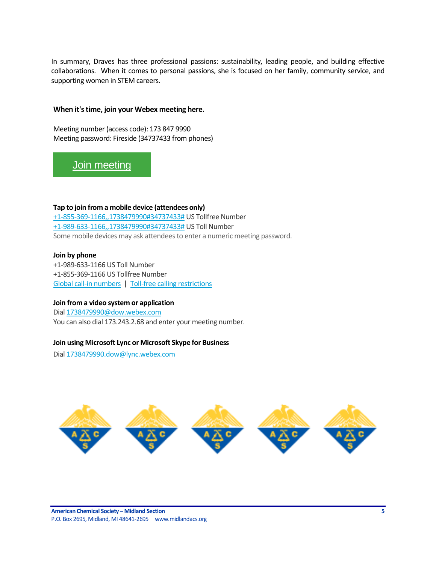In summary, Draves has three professional passions: sustainability, leading people, and building effective collaborations. When it comes to personal passions, she is focused on her family, community service, and supporting women in STEM careers.

#### **When it's time, join your Webex meeting here.**

Meeting number (access code): 173 847 9990 Meeting password: Fireside (34737433 from phones)

# [Join meeting](https://dow.webex.com/dow/j.php?MTID=md5ef9062b1deafa84a3d4a3a4a0e9e8c)

**Tap to join from a mobile device (attendees only)** [+1-855-369-1166,,1738479990#34737433#](tel:%2B1-855-369-1166,,*01*1738479990%2334737433%23*01*) US Tollfree Number [+1-989-633-1166,,1738479990#34737433#](tel:%2B1-989-633-1166,,*01*1738479990%2334737433%23*01*) US Toll Number Some mobile devices may ask attendees to enter a numeric meeting password.

#### **Join by phone**

+1-989-633-1166 US Toll Number +1-855-369-1166 US Tollfree Number [Global call-in numbers](https://dow.webex.com/dow/globalcallin.php?MTID=m9b6db0ecfadcf11c0010b2152f97587c) | [Toll-free calling restrictions](https://www.webex.com/pdf/tollfree_restrictions.pdf)

#### **Join from a video system or application**

Dial [1738479990@dow.webex.com](sip:1738479990@dow.webex.com) You can also dial 173.243.2.68 and enter your meeting number.

### **Join using Microsoft Lync or Microsoft Skype for Business**

Dia[l 1738479990.dow@lync.webex.com](sip:1738479990.dow@lync.webex.com)

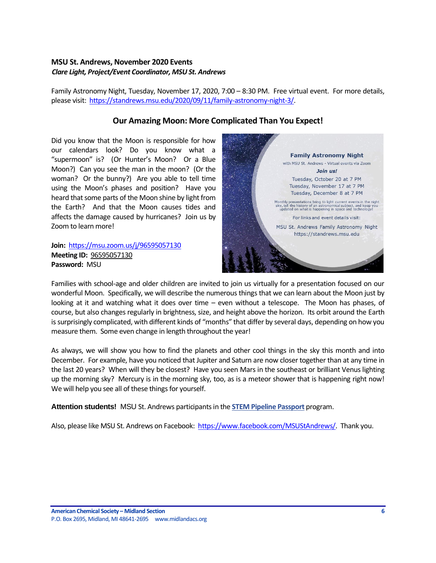## <span id="page-5-0"></span>**MSU St. Andrews, November 2020 Events** *Clare Light, Project/Event Coordinator, MSU St. Andrews*

Family Astronomy Night, Tuesday, November 17, 2020, 7:00 – 8:30 PM. Free virtual event. For more details, please visit: [https://standrews.msu.edu/2020/09/11/family-astronomy-night-3/.](https://standrews.msu.edu/2020/09/11/family-astronomy-night-3/)

## **Our Amazing Moon: More Complicated Than You Expect!**

Did you know that the Moon is responsible for how our calendars look? Do you know what a "supermoon" is? (Or Hunter's Moon? Or a Blue Moon?) Can you see the man in the moon? (Or the woman? Or the bunny?) Are you able to tell time using the Moon's phases and position? Have you heard that some parts of the Moon shine by light from the Earth? And that the Moon causes tides and affects the damage caused by hurricanes? Join us by Zoom to learn more!

**Join:** <https://msu.zoom.us/j/96595057130> **Meeting ID:** [96595057130](http://r20.rs6.net/tn.jsp?f=001HT6mNv5a7RV1RNoPppTmZp-BVIvd8H9JqmM-zN831bNEIPTU-zs1bSYfkpiM8Psg3fYWOnklQKA_zFfB4q-7YUB_Y6s8nOFAhg7U7XPr4d9WvzQlEi6dfyGuSTrnnbWyP5DhVLmiBvw9q2c4u6lGl8FXb22PVVKU&c=R-aADM4flVO1AGNVI9M35rwryU584TdGqYp42wqkLz6mgDSL5xUeHA==&ch=pF77tp8sEijA4SYl8mpHXvGqTdTtGVc7-jDLb6iUcCQ1PmW-OA39UQ==) **Password:** MSU



Families with school-age and older children are invited to join us virtually for a presentation focused on our wonderful Moon. Specifically, we will describe the numerous things that we can learn about the Moon just by looking at it and watching what it does over time – even without a telescope. The Moon has phases, of course, but also changes regularly in brightness, size, and height above the horizon. Its orbit around the Earth is surprisingly complicated, with different kinds of "months" that differ by several days, depending on how you measure them. Some even change in length throughout the year!

As always, we will show you how to find the planets and other cool things in the sky this month and into December. For example, have you noticed that Jupiter and Saturn are now closer together than at any time in the last 20 years? When will they be closest? Have you seen Mars in the southeast or brilliant Venus lighting up the morning sky? Mercury is in the morning sky, too, as is a meteor shower that is happening right now! We will help you see all of these things for yourself.

**Attention students!** MSU St. Andrews participants in the **[STEM Pipeline Passport](http://r20.rs6.net/tn.jsp?f=001HT6mNv5a7RV1RNoPppTmZp-BVIvd8H9JqmM-zN831bNEIPTU-zs1bSYfkpiM8PsgAcR2VxgtIO1oyKxBTKTJeAciraBN6bEaOui_W6uXJSllc2Bp8iiwYjiV871GonHhm1oMpRWFQ67JWDXmOBMrAWd9_g8YI5OKRyOWhRpljUBnispyfMwQh452v_lrWyT-jBfHRyrZtzolbvyKemuXJQ==&c=R-aADM4flVO1AGNVI9M35rwryU584TdGqYp42wqkLz6mgDSL5xUeHA==&ch=pF77tp8sEijA4SYl8mpHXvGqTdTtGVc7-jDLb6iUcCQ1PmW-OA39UQ==)** program.

Also, please like MSU St. Andrews on Facebook: [https://www.facebook.com/MSUStAndrews/.](https://www.facebook.com/MSUStAndrews/) Thank you.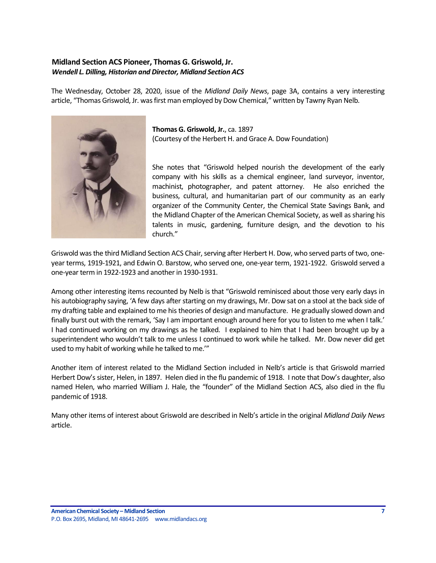## <span id="page-6-0"></span>**Midland Section ACS Pioneer, Thomas G. Griswold, Jr.** *Wendell L. Dilling, Historian and Director, Midland Section ACS*

The Wednesday, October 28, 2020, issue of the *Midland Daily News*, page 3A, contains a very interesting article, "Thomas Griswold, Jr. was first man employed by Dow Chemical," written by Tawny Ryan Nelb.



**Thomas G. Griswold, Jr.**, ca. 1897 (Courtesy of the Herbert H. and Grace A. Dow Foundation)

She notes that "Griswold helped nourish the development of the early company with his skills as a chemical engineer, land surveyor, inventor, machinist, photographer, and patent attorney. He also enriched the business, cultural, and humanitarian part of our community as an early organizer of the Community Center, the Chemical State Savings Bank, and the Midland Chapter of the American Chemical Society, as well as sharing his talents in music, gardening, furniture design, and the devotion to his church."

Griswold was the third Midland Section ACS Chair, serving after Herbert H. Dow, who served parts of two, oneyear terms, 1919-1921, and Edwin O. Barstow, who served one, one-year term, 1921-1922. Griswold served a one-year term in 1922-1923 and another in 1930-1931.

Among other interesting items recounted by Nelb is that "Griswold reminisced about those very early days in his autobiography saying, 'A few days after starting on my drawings, Mr. Dow sat on a stool at the back side of my drafting table and explained to me his theories of design and manufacture. He gradually slowed down and finally burst out with the remark, 'Say I am important enough around here for you to listen to me when I talk.' I had continued working on my drawings as he talked. I explained to him that I had been brought up by a superintendent who wouldn't talk to me unless I continued to work while he talked. Mr. Dow never did get used to my habit of working while he talked to me.'"

Another item of interest related to the Midland Section included in Nelb's article is that Griswold married Herbert Dow's sister, Helen, in 1897. Helen died in the flu pandemic of 1918. I note that Dow's daughter, also named Helen, who married William J. Hale, the "founder" of the Midland Section ACS, also died in the flu pandemic of 1918.

Many other items of interest about Griswold are described in Nelb's article in the original *Midland Daily News* article.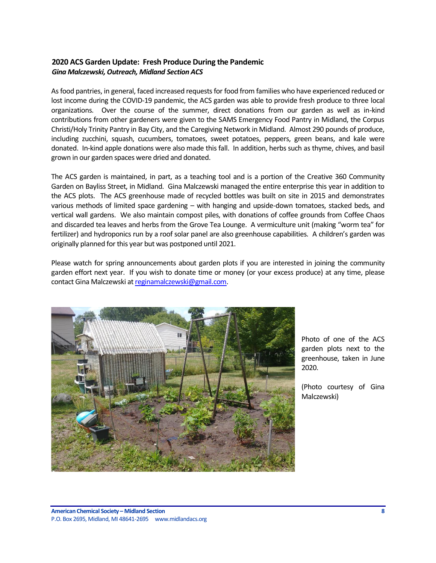## <span id="page-7-0"></span>**2020 ACS Garden Update: Fresh Produce During the Pandemic** *Gina Malczewski, Outreach, Midland Section ACS*

As food pantries, in general, faced increased requests for food from families who have experienced reduced or lost income during the COVID-19 pandemic, the ACS garden was able to provide fresh produce to three local organizations. Over the course of the summer, direct donations from our garden as well as in-kind contributions from other gardeners were given to the SAMS Emergency Food Pantry in Midland, the Corpus Christi/Holy Trinity Pantry in Bay City, and the Caregiving Network in Midland. Almost 290 pounds of produce, including zucchini, squash, cucumbers, tomatoes, sweet potatoes, peppers, green beans, and kale were donated. In-kind apple donations were also made this fall. In addition, herbs such as thyme, chives, and basil grown in our garden spaces were dried and donated.

The ACS garden is maintained, in part, as a teaching tool and is a portion of the Creative 360 Community Garden on Bayliss Street, in Midland. Gina Malczewski managed the entire enterprise this year in addition to the ACS plots. The ACS greenhouse made of recycled bottles was built on site in 2015 and demonstrates various methods of limited space gardening – with hanging and upside-down tomatoes, stacked beds, and vertical wall gardens. We also maintain compost piles, with donations of coffee grounds from Coffee Chaos and discarded tea leaves and herbs from the Grove Tea Lounge. A vermiculture unit (making "worm tea" for fertilizer) and hydroponics run by a roof solar panel are also greenhouse capabilities. A children's garden was originally planned for this year but was postponed until 2021.

Please watch for spring announcements about garden plots if you are interested in joining the community garden effort next year. If you wish to donate time or money (or your excess produce) at any time, please contact Gina Malczewski a[t reginamalczewski@gmail.com.](mailto:reginamalczewski@gmail.com)



Photo of one of the ACS garden plots next to the greenhouse, taken in June 2020.

(Photo courtesy of Gina Malczewski)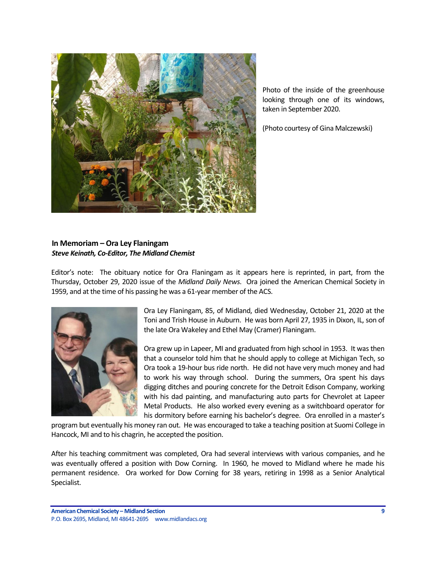

Photo of the inside of the greenhouse looking through one of its windows, taken in September 2020.

(Photo courtesy of Gina Malczewski)

## <span id="page-8-0"></span>**In Memoriam – Ora Ley Flaningam** *Steve Keinath, Co-Editor, The Midland Chemist*

Editor's note: The obituary notice for Ora Flaningam as it appears here is reprinted, in part, from the Thursday, October 29, 2020 issue of the *Midland Daily News*. Ora joined the American Chemical Society in 1959, and at the time of his passing he was a 61-year member of the ACS.



Ora Ley Flaningam, 85, of Midland, died Wednesday, October 21, 2020 at the Toni and Trish House in Auburn. He was born April 27, 1935 in Dixon, IL, son of the late Ora Wakeley and Ethel May (Cramer) Flaningam.

Ora grew up in Lapeer, MI and graduated from high school in 1953. It was then that a counselor told him that he should apply to college at Michigan Tech, so Ora took a 19-hour bus ride north. He did not have very much money and had to work his way through school. During the summers, Ora spent his days digging ditches and pouring concrete for the Detroit Edison Company, working with his dad painting, and manufacturing auto parts for Chevrolet at Lapeer Metal Products. He also worked every evening as a switchboard operator for his dormitory before earning his bachelor's degree. Ora enrolled in a master's

program but eventually his money ran out. He was encouraged to take a teaching position at Suomi College in Hancock, MI and to his chagrin, he accepted the position.

After his teaching commitment was completed, Ora had several interviews with various companies, and he was eventually offered a position with Dow Corning. In 1960, he moved to Midland where he made his permanent residence. Ora worked for Dow Corning for 38 years, retiring in 1998 as a Senior Analytical Specialist.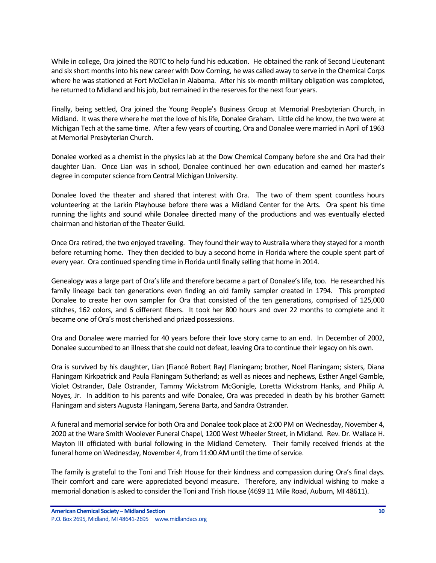While in college, Ora joined the ROTC to help fund his education. He obtained the rank of Second Lieutenant and six short months into his new career with Dow Corning, he was called away to serve in the Chemical Corps where he was stationed at Fort McClellan in Alabama. After his six-month military obligation was completed, he returned to Midland and his job, but remained in the reserves for the next four years.

Finally, being settled, Ora joined the Young People's Business Group at Memorial Presbyterian Church, in Midland. It was there where he met the love of his life, Donalee Graham. Little did he know, the two were at Michigan Tech at the same time. After a few years of courting, Ora and Donalee were married in April of 1963 at Memorial Presbyterian Church.

Donalee worked as a chemist in the physics lab at the Dow Chemical Company before she and Ora had their daughter Lian. Once Lian was in school, Donalee continued her own education and earned her master's degree in computer science from Central Michigan University.

Donalee loved the theater and shared that interest with Ora. The two of them spent countless hours volunteering at the Larkin Playhouse before there was a Midland Center for the Arts. Ora spent his time running the lights and sound while Donalee directed many of the productions and was eventually elected chairman and historian of the Theater Guild.

Once Ora retired, the two enjoyed traveling. They found their way to Australia where they stayed for a month before returning home. They then decided to buy a second home in Florida where the couple spent part of every year. Ora continued spending time in Florida until finally selling that home in 2014.

Genealogy was a large part of Ora's life and therefore became a part of Donalee's life, too. He researched his family lineage back ten generations even finding an old family sampler created in 1794. This prompted Donalee to create her own sampler for Ora that consisted of the ten generations, comprised of 125,000 stitches, 162 colors, and 6 different fibers. It took her 800 hours and over 22 months to complete and it became one of Ora's most cherished and prized possessions.

Ora and Donalee were married for 40 years before their love story came to an end. In December of 2002, Donalee succumbed to an illness that she could not defeat, leaving Ora to continue their legacy on his own.

Ora is survived by his daughter, Lian (Fiancé Robert Ray) Flaningam; brother, Noel Flaningam; sisters, Diana Flaningam Kirkpatrick and Paula Flaningam Sutherland; as well as nieces and nephews, Esther Angel Gamble, Violet Ostrander, Dale Ostrander, Tammy Wickstrom McGonigle, Loretta Wickstrom Hanks, and Philip A. Noyes, Jr. In addition to his parents and wife Donalee, Ora was preceded in death by his brother Garnett Flaningam and sisters Augusta Flaningam, Serena Barta, and Sandra Ostrander.

A funeral and memorial service for both Ora and Donalee took place at 2:00 PM on Wednesday, November 4, 2020 at the Ware Smith Woolever Funeral Chapel, 1200 West Wheeler Street, in Midland. Rev. Dr. Wallace H. Mayton III officiated with burial following in the Midland Cemetery. Their family received friends at the funeral home on Wednesday, November 4, from 11:00 AM until the time of service.

The family is grateful to the Toni and Trish House for their kindness and compassion during Ora's final days. Their comfort and care were appreciated beyond measure. Therefore, any individual wishing to make a memorial donation is asked to consider the Toni and Trish House (4699 11 Mile Road, Auburn, MI 48611).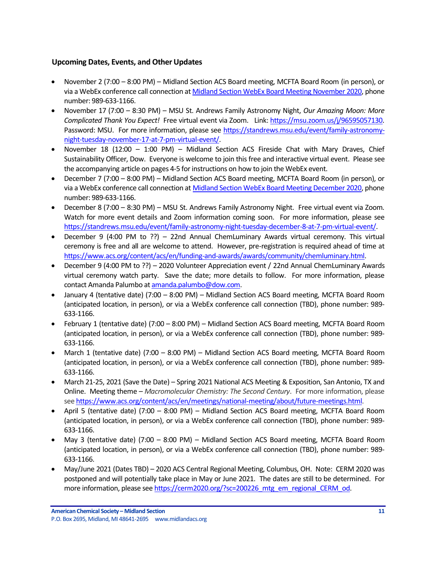## <span id="page-10-0"></span>**Upcoming Dates, Events, and Other Updates**

- November 2 (7:00 8:00 PM) Midland Section ACS Board meeting, MCFTA Board Room (in person), or via a WebEx conference call connection a[t Midland Section WebEx Board Meeting November 2020,](https://dow.webex.com/webappng/sites/dow/meeting/info/147370014930932607?MTID=me1a04d08b255f6ca75034382b9c32601) phone number: 989-633-1166.
- November 17 (7:00 8:30 PM) MSU St. Andrews Family Astronomy Night, *Our Amazing Moon: More Complicated Thank You Expect!* Free virtual event via Zoom. Link[: https://msu.zoom.us/j/96595057130.](https://msu.zoom.us/j/96595057130) Password: MSU. For more information, please see [https://standrews.msu.edu/event/family-astronomy](https://standrews.msu.edu/event/family-astronomy-night-tuesday-november-17-at-7-pm-virtual-event/)[night-tuesday-november-17-at-7-pm-virtual-event/.](https://standrews.msu.edu/event/family-astronomy-night-tuesday-november-17-at-7-pm-virtual-event/)
- November 18 (12:00 1:00 PM) Midland Section ACS Fireside Chat with Mary Draves, Chief Sustainability Officer, Dow. Everyone is welcome to join this free and interactive virtual event. Please see the accompanying article on pages 4-5 for instructions on how to join the WebEx event.
- December 7 (7:00 8:00 PM) Midland Section ACS Board meeting, MCFTA Board Room (in person), or via a WebEx conference call connection at [Midland Section WebEx Board Meeting December 2020,](https://dow.webex.com/webappng/sites/dow/meeting/info/147370068640043188?MTID=m2ecd52d22a6ec33abe1a2ba613bc7492) phone number: 989-633-1166.
- December 8 (7:00 8:30 PM) MSU St. Andrews Family Astronomy Night. Free virtual event via Zoom. Watch for more event details and Zoom information coming soon. For more information, please see [https://standrews.msu.edu/event/family-astronomy-night-tuesday-december-8-at-7-pm-virtual-event/.](https://standrews.msu.edu/event/family-astronomy-night-tuesday-december-8-at-7-pm-virtual-event/)
- December 9 (4:00 PM to ??) 22nd Annual ChemLuminary Awards virtual ceremony. This virtual ceremony is free and all are welcome to attend. However, pre-registration is required ahead of time at [https://www.acs.org/content/acs/en/funding-and-awards/awards/community/chemluminary.html.](https://www.acs.org/content/acs/en/funding-and-awards/awards/community/chemluminary.html)
- December 9 (4:00 PM to ??) 2020 Volunteer Appreciation event / 22nd Annual ChemLuminary Awards virtual ceremony watch party. Save the date; more details to follow. For more information, please contact Amanda Palumbo a[t amanda.palumbo@dow.com.](mailto:amanda.palumbo@dow.com)
- January 4 (tentative date) (7:00 8:00 PM) Midland Section ACS Board meeting, MCFTA Board Room (anticipated location, in person), or via a WebEx conference call connection (TBD), phone number: 989- 633-1166.
- February 1 (tentative date) (7:00 8:00 PM) Midland Section ACS Board meeting, MCFTA Board Room (anticipated location, in person), or via a WebEx conference call connection (TBD), phone number: 989- 633-1166.
- March 1 (tentative date) (7:00 8:00 PM) Midland Section ACS Board meeting, MCFTA Board Room (anticipated location, in person), or via a WebEx conference call connection (TBD), phone number: 989- 633-1166.
- March 21-25, 2021 (Save the Date) Spring 2021 National ACS Meeting & Exposition, San Antonio, TX and Online. Meeting theme – *Macromolecular Chemistry: The Second Century*. For more information, please se[e https://www.acs.org/content/acs/en/meetings/national-meeting/about/future-meetings.html.](https://www.acs.org/content/acs/en/meetings/national-meeting/about/future-meetings.html)
- April 5 (tentative date) (7:00 8:00 PM) Midland Section ACS Board meeting, MCFTA Board Room (anticipated location, in person), or via a WebEx conference call connection (TBD), phone number: 989- 633-1166.
- May 3 (tentative date) (7:00 8:00 PM) Midland Section ACS Board meeting, MCFTA Board Room (anticipated location, in person), or via a WebEx conference call connection (TBD), phone number: 989- 633-1166.
- May/June 2021 (Dates TBD) 2020 ACS Central Regional Meeting, Columbus, OH. Note: CERM 2020 was postponed and will potentially take place in May or June 2021. The dates are still to be determined. For more information, please se[e https://cerm2020.org/?sc=200226\\_mtg\\_em\\_regional\\_CERM\\_od.](https://cerm2020.org/?sc=200226_mtg_em_regional_CERM_od)